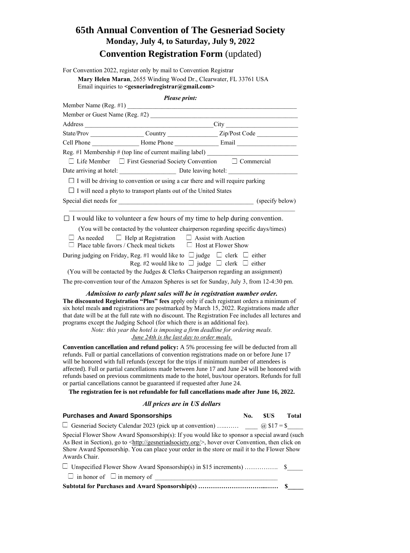## **65th Annual Convention of The Gesneriad Society Monday, July 4, to Saturday, July 9, 2022 Convention Registration Form** (updated)

For Convention 2022, register only by mail to Convention Registrar **Mary Helen Maran**, 2655 Winding Wood Dr., Clearwater, FL 33761 USA Email inquiries to **<gesneriadregistrar@gmail.com>**

## *Please print:*

|               | Member or Guest Name (Reg. #2)                                                                                                                                                                                                                                                                                                                                                                                                                                                                                                                                                                                                                                          |  |             |  |  |
|---------------|-------------------------------------------------------------------------------------------------------------------------------------------------------------------------------------------------------------------------------------------------------------------------------------------------------------------------------------------------------------------------------------------------------------------------------------------------------------------------------------------------------------------------------------------------------------------------------------------------------------------------------------------------------------------------|--|-------------|--|--|
|               |                                                                                                                                                                                                                                                                                                                                                                                                                                                                                                                                                                                                                                                                         |  |             |  |  |
|               |                                                                                                                                                                                                                                                                                                                                                                                                                                                                                                                                                                                                                                                                         |  |             |  |  |
|               |                                                                                                                                                                                                                                                                                                                                                                                                                                                                                                                                                                                                                                                                         |  |             |  |  |
|               | Reg. #1 Membership # (top line of current mailing label) _______________________                                                                                                                                                                                                                                                                                                                                                                                                                                                                                                                                                                                        |  |             |  |  |
|               | $\Box$ Life Member $\Box$ First Gesneriad Society Convention $\Box$ Commercial                                                                                                                                                                                                                                                                                                                                                                                                                                                                                                                                                                                          |  |             |  |  |
|               |                                                                                                                                                                                                                                                                                                                                                                                                                                                                                                                                                                                                                                                                         |  |             |  |  |
|               | $\Box$ I will be driving to convention or using a car there and will require parking                                                                                                                                                                                                                                                                                                                                                                                                                                                                                                                                                                                    |  |             |  |  |
|               | $\Box$ I will need a phyto to transport plants out of the United States                                                                                                                                                                                                                                                                                                                                                                                                                                                                                                                                                                                                 |  |             |  |  |
|               |                                                                                                                                                                                                                                                                                                                                                                                                                                                                                                                                                                                                                                                                         |  |             |  |  |
|               | $\Box$ I would like to volunteer a few hours of my time to help during convention.                                                                                                                                                                                                                                                                                                                                                                                                                                                                                                                                                                                      |  |             |  |  |
|               | (You will be contacted by the volunteer chairperson regarding specific days/times)                                                                                                                                                                                                                                                                                                                                                                                                                                                                                                                                                                                      |  |             |  |  |
|               | $\Box$ As needed $\Box$ Help at Registration $\Box$ Assist with Auction<br>$\Box$ Place table favors / Check meal tickets $\Box$ Host at Flower Show                                                                                                                                                                                                                                                                                                                                                                                                                                                                                                                    |  |             |  |  |
|               | During judging on Friday, Reg. #1 would like to $\Box$ judge $\Box$ clerk $\Box$ either                                                                                                                                                                                                                                                                                                                                                                                                                                                                                                                                                                                 |  |             |  |  |
|               | Reg. #2 would like to $\Box$ judge $\Box$ clerk $\Box$ either                                                                                                                                                                                                                                                                                                                                                                                                                                                                                                                                                                                                           |  |             |  |  |
|               | (You will be contacted by the Judges & Clerks Chairperson regarding an assignment)                                                                                                                                                                                                                                                                                                                                                                                                                                                                                                                                                                                      |  |             |  |  |
|               | The pre-convention tour of the Amazon Spheres is set for Sunday, July 3, from 12-4:30 pm.                                                                                                                                                                                                                                                                                                                                                                                                                                                                                                                                                                               |  |             |  |  |
|               | Admission to early plant sales will be in registration number order.<br>The discounted Registration "Plus" fees apply only if each registrant orders a minimum of<br>six hotel meals and registrations are postmarked by March 15, 2022. Registrations made after<br>that date will be at the full rate with no discount. The Registration Fee includes all lectures and<br>programs except the Judging School (for which there is an additional fee).<br>Note: this year the hotel is imposing a firm deadline for ordering meals.<br>June 24th is the last day to order meals.                                                                                        |  |             |  |  |
|               | <b>Convention cancellation and refund policy:</b> A 5% processing fee will be deducted from all<br>refunds. Full or partial cancellations of convention registrations made on or before June 17<br>will be honored with full refunds (except for the trips if minimum number of attendees is<br>affected). Full or partial cancellations made between June 17 and June 24 will be honored with<br>refunds based on previous commitments made to the hotel, bus/tour operators. Refunds for full<br>or partial cancellations cannot be guaranteed if requested after June 24.<br>The registration fee is not refundable for full cancellations made after June 16, 2022. |  |             |  |  |
|               | All prices are in US dollars                                                                                                                                                                                                                                                                                                                                                                                                                                                                                                                                                                                                                                            |  |             |  |  |
|               | Purchases and Award Sponsorships Mo. SUS Total                                                                                                                                                                                                                                                                                                                                                                                                                                                                                                                                                                                                                          |  |             |  |  |
|               | $\Box$ Gesneriad Society Calendar 2023 (pick up at convention)                                                                                                                                                                                                                                                                                                                                                                                                                                                                                                                                                                                                          |  | @ $$17 = $$ |  |  |
| Awards Chair. | Special Flower Show Award Sponsorship(s): If you would like to sponsor a special award (such<br>As Best in Section), go to <http: gesneriadsociety.org=""></http:> , hover over Convention, then click on<br>Show Award Sponsorship. You can place your order in the store or mail it to the Flower Show                                                                                                                                                                                                                                                                                                                                                                |  |             |  |  |
|               | $\Box$ Unspecified Flower Show Award Sponsorship(s) in \$15 increments)                                                                                                                                                                                                                                                                                                                                                                                                                                                                                                                                                                                                 |  |             |  |  |

 $\Box$  in honor of  $\Box$  in memory of

**Subtotal for Purchases and Award Sponsorship(s) …………………………...…… \$\_\_\_\_\_**